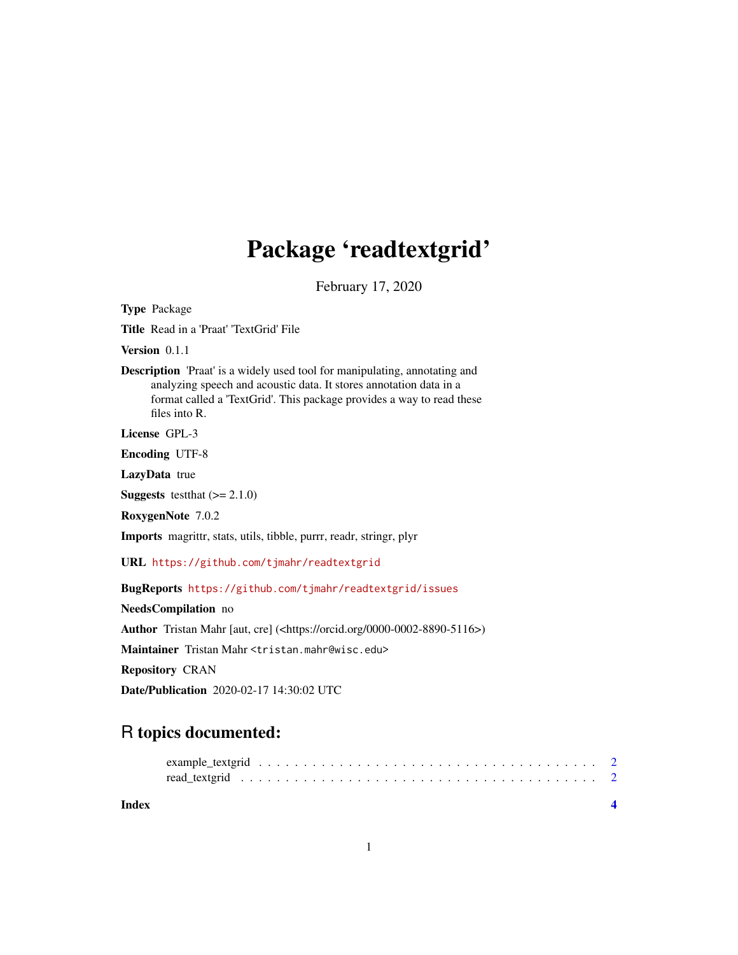## Package 'readtextgrid'

February 17, 2020

<span id="page-0-0"></span>Type Package

Title Read in a 'Praat' 'TextGrid' File

Version 0.1.1

Description 'Praat' is a widely used tool for manipulating, annotating and analyzing speech and acoustic data. It stores annotation data in a format called a 'TextGrid'. This package provides a way to read these files into R.

License GPL-3

Encoding UTF-8

LazyData true

**Suggests** testthat  $(>= 2.1.0)$ 

RoxygenNote 7.0.2

Imports magrittr, stats, utils, tibble, purrr, readr, stringr, plyr

URL <https://github.com/tjmahr/readtextgrid>

BugReports <https://github.com/tjmahr/readtextgrid/issues>

NeedsCompilation no Author Tristan Mahr [aut, cre] (<https://orcid.org/0000-0002-8890-5116>) Maintainer Tristan Mahr <tristan.mahr@wisc.edu> Repository CRAN Date/Publication 2020-02-17 14:30:02 UTC

### R topics documented: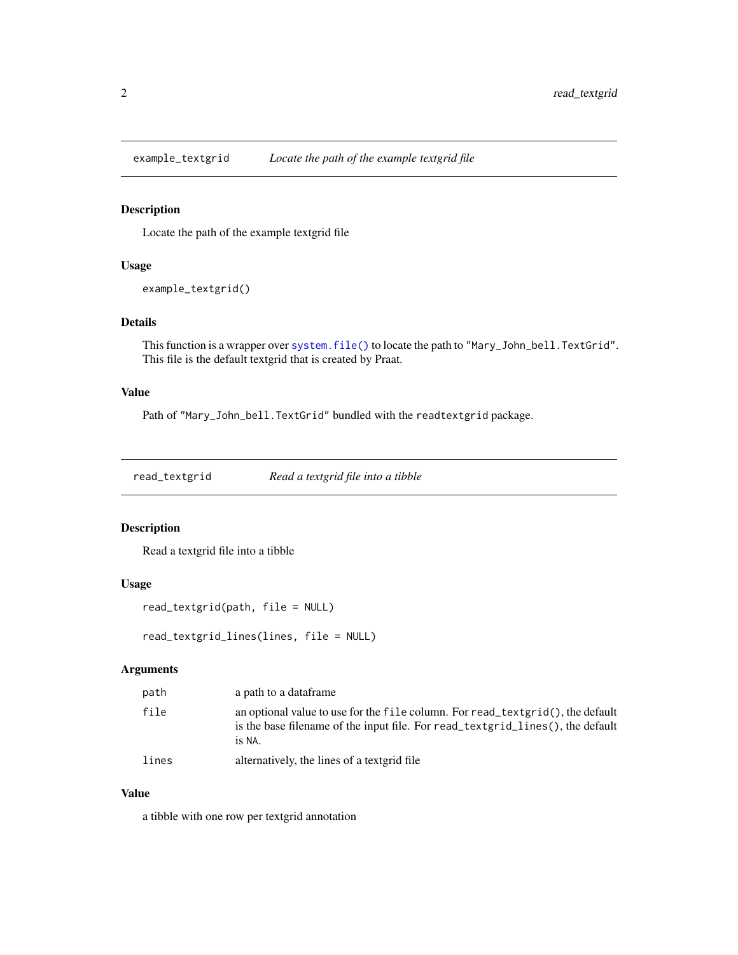<span id="page-1-0"></span>

#### Description

Locate the path of the example textgrid file

#### Usage

```
example_textgrid()
```
#### Details

This function is a wrapper over [system.file\(\)](#page-0-0) to locate the path to "Mary\_John\_bell.TextGrid". This file is the default textgrid that is created by Praat.

#### Value

Path of "Mary\_John\_bell.TextGrid" bundled with the readtextgrid package.

read\_textgrid *Read a textgrid file into a tibble*

#### Description

Read a textgrid file into a tibble

#### Usage

```
read_textgrid(path, file = NULL)
```
read\_textgrid\_lines(lines, file = NULL)

#### Arguments

| path  | a path to a dataframe                                                                                                                                                        |
|-------|------------------------------------------------------------------------------------------------------------------------------------------------------------------------------|
| file  | an optional value to use for the file column. For read_textgrid(), the default<br>is the base filename of the input file. For read text grid lines (), the default<br>is NA. |
| lines | alternatively, the lines of a text grid file                                                                                                                                 |

#### Value

a tibble with one row per textgrid annotation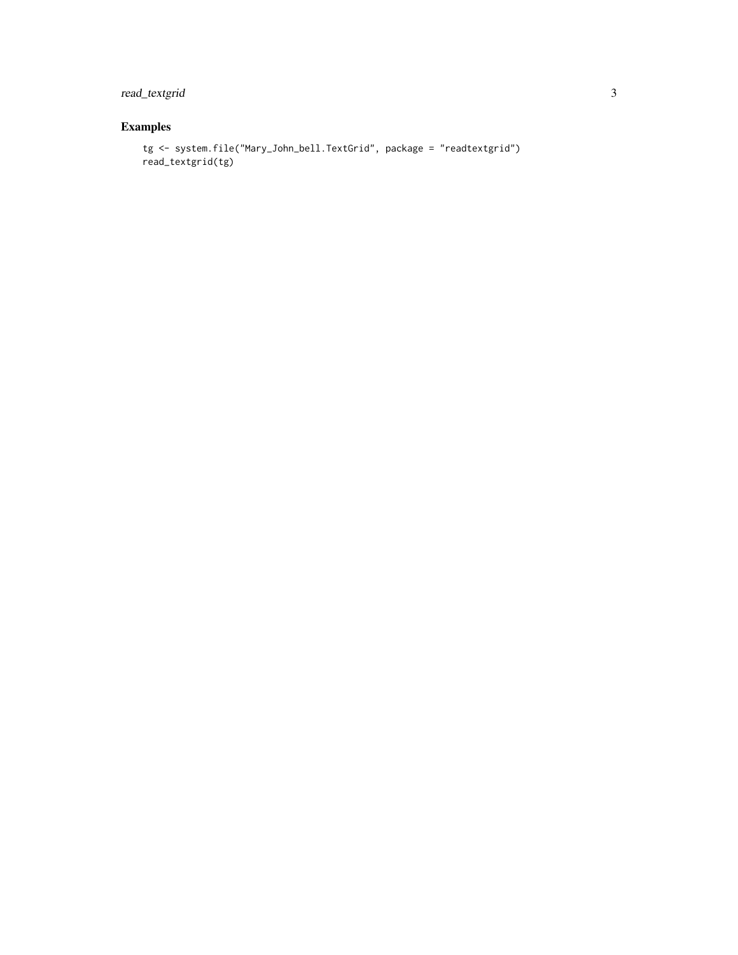#### read\_textgrid 3

#### Examples

```
tg <- system.file("Mary_John_bell.TextGrid", package = "readtextgrid")
read_textgrid(tg)
```